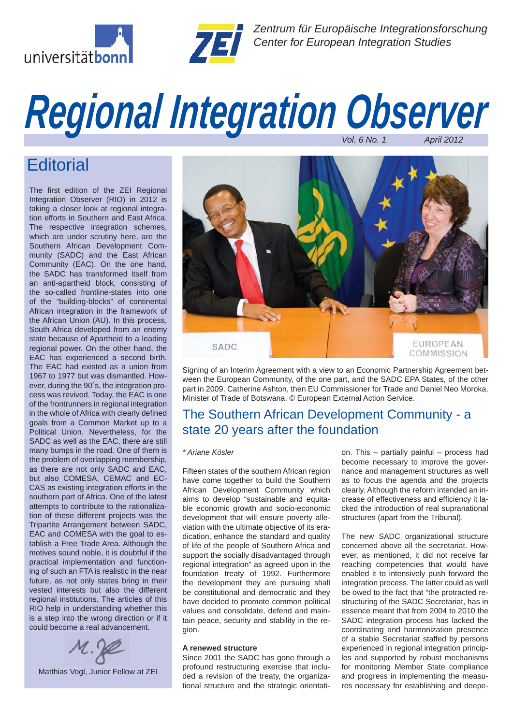



*Zentrum für Europäische Integrationsforschung Center for European Integration Studies*

# *Regional Integration Observer Vol. 6 No. 1* **April 2012**

## **Editorial**

The first edition of the ZEI Regional Integration Observer (RIO) in 2012 is taking a closer look at regional integration efforts in Southern and East Africa. The respective integration schemes, which are under scrutiny here, are the Southern African Development Community (SADC) and the East African Community (EAC). On the one hand, the SADC has transformed itself from an anti-apartheid block, consisting of the so-called frontline-states into one of the "building-blocks" of continental African integration in the framework of the African Union (AU). In this process, South Africa developed from an enemy state because of Apartheid to a leading regional power. On the other hand, the EAC has experienced a second birth. The EAC had existed as a union from 1967 to 1977 but was dismantled. However, during the 90´s, the integration process was revived. Today, the EAC is one of the frontrunners in regional integration in the whole of Africa with clearly defined goals from a Common Market up to a Political Union. Nevertheless, for the SADC as well as the EAC, there are still many bumps in the road. One of them is the problem of overlapping membership, as there are not only SADC and EAC, but also COMESA, CEMAC and EC-CAS as existing integration efforts in the southern part of Africa. One of the latest attempts to contribute to the rationalization of these different projects was the Tripartite Arrangement between SADC, EAC and COMESA with the goal to establish a Free Trade Area. Although the motives sound noble, it is doubtful if the practical implementation and functioning of such an FTA is realistic in the near future, as not only states bring in their vested interests but also the different regional institutions. The articles of this RIO help in understanding whether this is a step into the wrong direction or if it could become a real advancement.



Matthias Vogl, Junior Fellow at ZEI



Signing of an Interim Agreement with a view to an Economic Partnership Agreement between the European Community, of the one part, and the SADC EPA States, of the other part in 2009. Catherine Ashton, then EU Commissioner for Trade and Daniel Neo Moroka, Minister of Trade of Botswana. © European External Action Service.

### The Southern African Development Community - a state 20 years after the foundation

### *\* Ariane Kösler*

Fifteen states of the southern African region have come together to build the Southern African Development Community which aims to develop "sustainable and equitable economic growth and socio-economic development that will ensure poverty alleviation with the ultimate objective of its eradication, enhance the standard and quality of life of the people of Southern Africa and support the socially disadvantaged through regional integration" as agreed upon in the foundation treaty of 1992. Furthermore the development they are pursuing shall be constitutional and democratic and they have decided to promote common political values and consolidate, defend and maintain peace, security and stability in the region.

### **A renewed structure**

Since 2001 the SADC has gone through a profound restructuring exercise that included a revision of the treaty, the organizational structure and the strategic orientation. This – partially painful – process had become necessary to improve the governance and management structures as well as to focus the agenda and the projects clearly. Although the reform intended an increase of effectiveness and efficiency it lacked the introduction of real supranational structures (apart from the Tribunal).

The new SADC organizational structure concerned above all the secretariat. However, as mentioned, it did not receive far reaching competencies that would have enabled it to intensively push forward the integration process. The latter could as well be owed to the fact that "the protracted restructuring of the SADC Secretariat, has in essence meant that from 2004 to 2010 the SADC integration process has lacked the coordinating and harmonization presence of a stable Secretariat staffed by persons experienced in regional integration principles and supported by robust mechanisms for monitoring Member State compliance and progress in implementing the measures necessary for establishing and deepe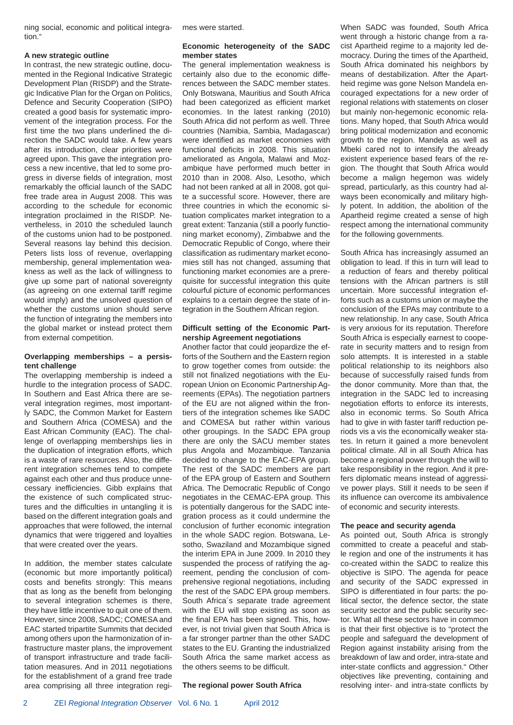ning social, economic and political integration."

### **A new strategic outline**

In contrast, the new strategic outline, documented in the Regional Indicative Strategic Development Plan (RISDP) and the Strategic Indicative Plan for the Organ on Politics, Defence and Security Cooperation (SIPO) created a good basis for systematic improvement of the integration process. For the first time the two plans underlined the direction the SADC would take. A few years after its introduction, clear priorities were agreed upon. This gave the integration process a new incentive, that led to some progress in diverse fields of integration, most remarkably the official launch of the SADC free trade area in August 2008. This was according to the schedule for economic integration proclaimed in the RISDP. Nevertheless, in 2010 the scheduled launch of the customs union had to be postponed. Several reasons lay behind this decision. Peters lists loss of revenue, overlapping membership, general implementation weakness as well as the lack of willingness to give up some part of national sovereignty (as agreeing on one external tariff regime would imply) and the unsolved question of whether the customs union should serve the function of integrating the members into the global market or instead protect them from external competition.

### **Overlapping memberships – a persistent challenge**

The overlapping membership is indeed a hurdle to the integration process of SADC. In Southern and East Africa there are several integration regimes, most importantly SADC, the Common Market for Eastern and Southern Africa (COMESA) and the East African Community (EAC). The challenge of overlapping memberships lies in the duplication of integration efforts, which is a waste of rare resources. Also, the different integration schemes tend to compete against each other and thus produce unnecessary inefficiencies. Gibb explains that the existence of such complicated structures and the difficulties in untangling it is based on the different integration goals and approaches that were followed, the internal dynamics that were triggered and loyalties that were created over the years.

In addition, the member states calculate (economic but more importantly political) costs and benefits strongly: This means that as long as the benefit from belonging to several integration schemes is there, they have little incentive to quit one of them. However, since 2008, SADC; COMESA and EAC started tripartite Summits that decided among others upon the harmonization of infrastructure master plans, the improvement of transport infrastructure and trade facilitation measures. And in 2011 negotiations for the establishment of a grand free trade area comprising all three integration regimes were started.

### **Economic heterogeneity of the SADC member states**

The general implementation weakness is certainly also due to the economic differences between the SADC member states. Only Botswana, Mauritius and South Africa had been categorized as efficient market economies. In the latest ranking (2010) South Africa did not perform as well. Three countries (Namibia, Sambia, Madagascar) were identified as market economies with functional deficits in 2008. This situation ameliorated as Angola, Malawi and Mozambique have performed much better in 2010 than in 2008. Also, Lesotho, which had not been ranked at all in 2008, got quite a successful score. However, there are three countries in which the economic situation complicates market integration to a great extent: Tanzania (still a poorly functioning market economy), Zimbabwe and the Democratic Republic of Congo, where their classification as rudimentary market economies still has not changed, assuming that functioning market economies are a prerequisite for successful integration this quite colourful picture of economic performances explains to a certain degree the state of integration in the Southern African region.

### Difficult setting of the Economic Part**nership Agreement negotiations**

Another factor that could jeopardize the efforts of the Southern and the Eastern region to grow together comes from outside: the still not finalized negotiations with the European Union on Economic Partnership Agreements (EPAs). The negotiation partners of the EU are not aligned within the frontiers of the integration schemes like SADC and COMESA but rather within various other groupings. In the SADC EPA group there are only the SACU member states plus Angola and Mozambique. Tanzania decided to change to the EAC-EPA group. The rest of the SADC members are part of the EPA group of Eastern and Southern Africa. The Democratic Republic of Congo negotiates in the CEMAC-EPA group. This is potentially dangerous for the SADC integration process as it could undermine the conclusion of further economic integration in the whole SADC region. Botswana, Lesotho, Swaziland and Mozambique signed the interim EPA in June 2009. In 2010 they suspended the process of ratifying the agreement, pending the conclusion of comprehensive regional negotiations, including the rest of the SADC EPA group members. South Africa´s separate trade agreement with the EU will stop existing as soon as the final EPA has been signed. This, however, is not trivial given that South Africa is a far stronger partner than the other SADC states to the EU. Granting the industrialized South Africa the same market access as the others seems to be difficult.

### **The regional power South Africa**

When SADC was founded, South Africa went through a historic change from a racist Apartheid regime to a majority led democracy. During the times of the Apartheid, South Africa dominated his neighbors by means of destabilization. After the Apartheid regime was gone Nelson Mandela encouraged expectations for a new order of regional relations with statements on closer but mainly non-hegemonic economic relations. Many hoped, that South Africa would bring political modernization and economic growth to the region. Mandela as well as Mbeki cared not to intensify the already existent experience based fears of the region. The thought that South Africa would become a malign hegemon was widely spread, particularly, as this country had always been economically and military highly potent. In addition, the abolition of the Apartheid regime created a sense of high respect among the international community for the following governments.

South Africa has increasingly assumed an obligation to lead. If this in turn will lead to a reduction of fears and thereby political tensions with the African partners is still uncertain. More successful integration efforts such as a customs union or maybe the conclusion of the EPAs may contribute to a new relationship. In any case, South Africa is very anxious for its reputation. Therefore South Africa is especially earnest to cooperate in security matters and to resign from solo attempts. It is interested in a stable political relationship to its neighbors also because of successfully raised funds from the donor community. More than that, the integration in the SADC led to increasing negotiation efforts to enforce its interests, also in economic terms. So South Africa had to give in with faster tariff reduction periods vis a vis the economically weaker states. In return it gained a more benevolent political climate. All in all South Africa has become a regional power through the will to take responsibility in the region. And it prefers diplomatic means instead of aggressive power plays. Still it needs to be seen if its influence can overcome its ambivalence of economic and security interests.

### **The peace and security agenda**

As pointed out, South Africa is strongly committed to create a peaceful and stable region and one of the instruments it has co-created within the SADC to realize this objective is SIPO. The agenda for peace and security of the SADC expressed in SIPO is differentiated in four parts: the political sector, the defence sector, the state security sector and the public security sector. What all these sectors have in common is that their first objective is to "protect the people and safeguard the development of Region against instability arising from the breakdown of law and order, intra-state and inter-state conflicts and aggression." Other objectives like preventing, containing and resolving inter- and intra-state conflicts by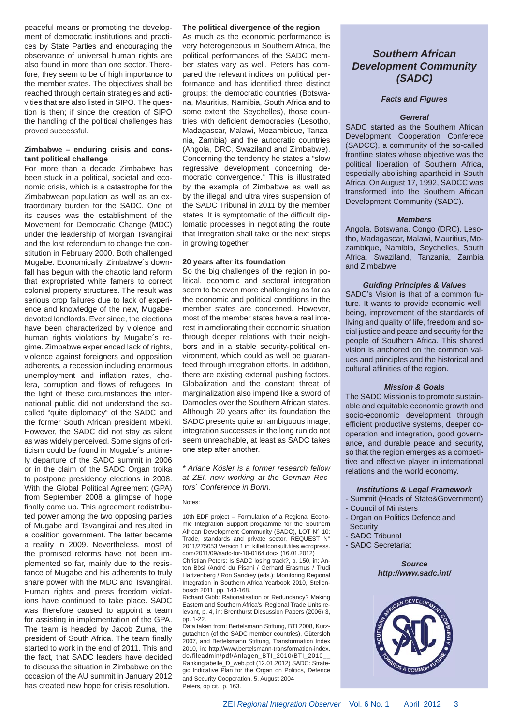peaceful means or promoting the development of democratic institutions and practices by State Parties and encouraging the observance of universal human rights are also found in more than one sector. Therefore, they seem to be of high importance to the member states. The objectives shall be reached through certain strategies and activities that are also listed in SIPO. The question is then; if since the creation of SIPO the handling of the political challenges has proved successful.

### **Zimbabwe – enduring crisis and constant political challenge**

For more than a decade Zimbabwe has been stuck in a political, societal and economic crisis, which is a catastrophe for the Zimbabwean population as well as an extraordinary burden for the SADC. One of its causes was the establishment of the Movement for Democratic Change (MDC) under the leadership of Morgan Tsvangirai and the lost referendum to change the constitution in February 2000. Both challenged Mugabe. Economically, Zimbabwe´s downfall has begun with the chaotic land reform that expropriated white famers to correct colonial property structures. The result was serious crop failures due to lack of experience and knowledge of the new, Mugabedevoted landlords. Ever since, the elections have been characterized by violence and human rights violations by Mugabe´s regime. Zimbabwe experienced lack of rights, violence against foreigners and opposition adherents, a recession including enormous unemployment and inflation rates, cholera, corruption and flows of refugees. In the light of these circumstances the international public did not understand the socalled "quite diplomacy" of the SADC and the former South African president Mbeki. However, the SADC did not stay as silent as was widely perceived. Some signs of criticism could be found in Mugabe´s untimely departure of the SADC summit in 2006 or in the claim of the SADC Organ troika to postpone presidency elections in 2008. With the Global Political Agreement (GPA) from September 2008 a glimpse of hope finally came up. This agreement redistributed power among the two opposing parties of Mugabe and Tsvangirai and resulted in a coalition government. The latter became a reality in 2009. Nevertheless, most of the promised reforms have not been implemented so far, mainly due to the resistance of Mugabe and his adherents to truly share power with the MDC and Tsvangirai. Human rights and press freedom violations have continued to take place. SADC was therefore caused to appoint a team for assisting in implementation of the GPA. The team is headed by Jacob Zuma, the president of South Africa. The team finally started to work in the end of 2011. This and the fact, that SADC leaders have decided to discuss the situation in Zimbabwe on the occasion of the AU summit in January 2012 has created new hope for crisis resolution.

### **The political divergence of the region**

As much as the economic performance is very heterogeneous in Southern Africa, the political performances of the SADC member states vary as well. Peters has compared the relevant indices on political performance and has identified three distinct groups: the democratic countries (Botswana, Mauritius, Namibia, South Africa and to some extent the Seychelles), those countries with deficient democracies (Lesotho, Madagascar, Malawi, Mozambique, Tanzania, Zambia) and the autocratic countries (Angola, DRC, Swaziland and Zimbabwe). Concerning the tendency he states a "slow regressive development concerning democratic convergence." This is illustrated by the example of Zimbabwe as well as by the illegal and ultra vires suspension of the SADC Tribunal in 2011 by the member states. It is symptomatic of the difficult diplomatic processes in negotiating the route that integration shall take or the next steps in growing together.

### **20 years after its foundation**

So the big challenges of the region in political, economic and sectoral integration seem to be even more challenging as far as the economic and political conditions in the member states are concerned. However most of the member states have a real interest in ameliorating their economic situation through deeper relations with their neighbors and in a stable security-political environment, which could as well be guaranteed through integration efforts. In addition, there are existing external pushing factors. Globalization and the constant threat of marginalization also impend like a sword of Damocles over the Southern African states. Although 20 years after its foundation the SADC presents quite an ambiguous image, integration successes in the long run do not seem unreachable, at least as SADC takes one step after another.

*\* Ariane Kösler is a former research fellow at ZEI, now working at the German Rectors` Conference in Bonn.*

#### Notes:

10th EDF project – Formulation of a Regional Economic Integration Support programme for the Southern African Development Community (SADC), LOT N° 10: Trade, standards and private sector, REQUEST N° 2011/275053 Version 1 in: killefitconsult.files.wordpress. com/2011/09/sadc-tor-10-0164.docx (16.01.2012) Christian Peters: Is SADC losing track?, p. 150, in: An-

ton Bösl /André du Pisani / Gerhard Erasmus / Trudi Hartzenberg / Ron Sandrey (eds.): Monitoring Regional Integration in Southern Africa Yearbook 2010, Stellenbosch 2011, pp. 143-168.

Richard Gibb: Rationalisation or Redundancy? Making Eastern and Southern Africa's Regional Trade Units relevant, p. 4, in: Brenthurst Dicsussion Papers (2006) 3, pp. 1-22.

Data taken from: Bertelsmann Stiftung, BTI 2008, Kurzgutachten (of the SADC member countries), Gütersloh 2007, and Bertelsmann Stiftung, Transformation Index 2010, in: http://www.bertelsmann-transformation-index. de/fileadmin/pdf/Anlagen\_BTI\_2010/BTI\_2010\_\_ Rankingtabelle\_D\_web.pdf (12.01.2012) SADC: Strategic Indicative Plan for the Organ on Politics, Defence and Security Cooperation, 5. August 2004 Peters, op cit., p. 163.

### *Southern African Development Community (SADC)*

### *Facts and Figures*

#### *General*

SADC started as the Southern African Development Cooperation Conferece (SADCC), a community of the so-called frontline states whose objective was the political liberation of Southern Africa, especially abolishing apartheid in South Africa. On August 17, 1992, SADCC was transformed into the Southern African Development Community (SADC).

#### *Members*

Angola, Botswana, Congo (DRC), Lesotho, Madagascar, Malawi, Mauritius, Mozambique, Namibia, Seychelles, South Africa, Swaziland, Tanzania, Zambia and Zimbabwe

### *Guiding Principles & Values*

SADC's Vision is that of a common future. It wants to provide economic wellbeing, improvement of the standards of living and quality of life, freedom and social justice and peace and security for the people of Southern Africa. This shared vision is anchored on the common values and principles and the historical and cultural affinities of the region.

### *Mission & Goals*

The SADC Mission is to promote sustainable and equitable economic growth and socio-economic development through efficient productive systems, deeper cooperation and integration, good governance, and durable peace and security, so that the region emerges as a competitive and effective player in international relations and the world economy.

### *Institutions & Legal Framework*

- Summit (Heads of State&Government)
- Council of Ministers
- Organ on Politics Defence and **Security**
- SADC Tribunal
- SADC Secretariat

*Source http://www.sadc.int/*

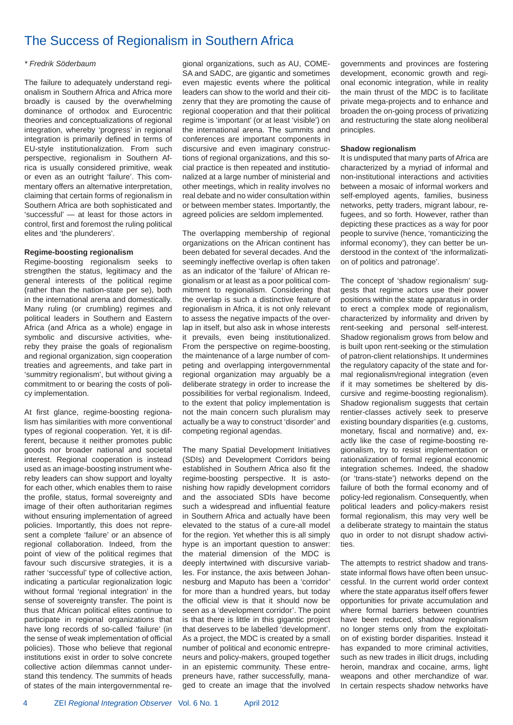### The Success of Regionalism in Southern Africa

### *\* Fredrik Söderbaum*

The failure to adequately understand regionalism in Southern Africa and Africa more broadly is caused by the overwhelming dominance of orthodox and Eurocentric theories and conceptualizations of regional integration, whereby 'progress' in regional integration is primarily defined in terms of EU-style institutionalization. From such perspective, regionalism in Southern Africa is usually considered primitive, weak or even as an outright 'failure'. This commentary offers an alternative interpretation, claiming that certain forms of regionalism in Southern Africa are both sophisticated and 'successful' — at least for those actors in control, first and foremost the ruling political elites and 'the plunderers'.

### **Regime-boosting regionalism**

Regime-boosting regionalism seeks to strengthen the status, legitimacy and the general interests of the political regime (rather than the nation-state per se), both in the international arena and domestically. Many ruling (or crumbling) regimes and political leaders in Southern and Eastern Africa (and Africa as a whole) engage in symbolic and discursive activities, whereby they praise the goals of regionalism and regional organization, sign cooperation treaties and agreements, and take part in 'summitry regionalism', but without giving a commitment to or bearing the costs of policy implementation.

At first glance, regime-boosting regionalism has similarities with more conventional types of regional cooperation. Yet, it is different, because it neither promotes public goods nor broader national and societal interest. Regional cooperation is instead used as an image-boosting instrument whereby leaders can show support and loyalty for each other, which enables them to raise the profile, status, formal sovereignty and image of their often authoritarian regimes without ensuring implementation of agreed policies. Importantly, this does not represent a complete 'failure' or an absence of regional collaboration. Indeed, from the point of view of the political regimes that favour such discursive strategies, it is a rather 'successful' type of collective action, indicating a particular regionalization logic without formal 'regional integration' in the sense of sovereignty transfer. The point is thus that African political elites continue to participate in regional organizations that have long records of so-called 'failure' (in the sense of weak implementation of official policies). Those who believe that regional institutions exist in order to solve concrete collective action dilemmas cannot understand this tendency. The summits of heads of states of the main intergovernmental regional organizations, such as AU, COME-SA and SADC, are gigantic and sometimes even majestic events where the political leaders can show to the world and their citizenry that they are promoting the cause of regional cooperation and that their political regime is 'important' (or at least 'visible') on the international arena. The summits and conferences are important components in discursive and even imaginary constructions of regional organizations, and this social practice is then repeated and institutionalized at a large number of ministerial and other meetings, which in reality involves no real debate and no wider consultation within or between member states. Importantly, the agreed policies are seldom implemented.

The overlapping membership of regional organizations on the African continent has been debated for several decades. And the seemingly ineffective overlap is often taken as an indicator of the 'failure' of African regionalism or at least as a poor political commitment to regionalism. Considering that the overlap is such a distinctive feature of regionalism in Africa, it is not only relevant to assess the negative impacts of the overlap in itself, but also ask in whose interests it prevails, even being institutionalized. From the perspective on regime-boosting, the maintenance of a large number of competing and overlapping intergovernmental regional organization may arguably be a deliberate strategy in order to increase the possibilities for verbal regionalism. Indeed, to the extent that policy implementation is not the main concern such pluralism may actually be a way to construct 'disorder' and competing regional agendas.

The many Spatial Development Initiatives (SDIs) and Development Corridors being established in Southern Africa also fit the regime-boosting perspective. It is astonishing how rapidly development corridors and the associated SDIs have become such a widespread and influential feature in Southern Africa and actually have been elevated to the status of a cure-all model for the region. Yet whether this is all simply hype is an important question to answer: the material dimension of the MDC is deeply intertwined with discursive variables. For instance, the axis between Johannesburg and Maputo has been a 'corridor' for more than a hundred years, but today the official view is that it should now be seen as a 'development corridor'. The point is that there is little in this gigantic project that deserves to be labelled 'development'. As a project, the MDC is created by a small number of political and economic entrepreneurs and policy-makers, grouped together in an epistemic community. These entrepreneurs have, rather successfully, managed to create an image that the involved

governments and provinces are fostering development, economic growth and regional economic integration, while in reality the main thrust of the MDC is to facilitate private mega-projects and to enhance and broaden the on-going process of privatizing and restructuring the state along neoliberal principles.

### **Shadow regionalism**

It is undisputed that many parts of Africa are characterized by a myriad of informal and non-institutional interactions and activities between a mosaic of informal workers and self-employed agents, families, business networks, petty traders, migrant labour, refugees, and so forth. However, rather than depicting these practices as a way for poor people to survive (hence, 'romanticizing the informal economy'), they can better be understood in the context of 'the informalization of politics and patronage'.

The concept of 'shadow regionalism' suggests that regime actors use their power positions within the state apparatus in order to erect a complex mode of regionalism, characterized by informality and driven by rent-seeking and personal self-interest. Shadow regionalism grows from below and is built upon rent-seeking or the stimulation of patron-client relationships. It undermines the regulatory capacity of the state and formal regionalism/regional integration (even if it may sometimes be sheltered by discursive and regime-boosting regionalism). Shadow regionalism suggests that certain rentier-classes actively seek to preserve existing boundary disparities (e.g. customs, monetary, fiscal and normative) and, exactly like the case of regime-boosting regionalism, try to resist implementation or rationalization of formal regional economic integration schemes. Indeed, the shadow (or 'trans-state') networks depend on the failure of both the formal economy and of policy-led regionalism. Consequently, when political leaders and policy-makers resist formal regionalism, this may very well be a deliberate strategy to maintain the status quo in order to not disrupt shadow activities.

The attempts to restrict shadow and transstate informal flows have often been unsuccessful. In the current world order context where the state apparatus itself offers fewer opportunities for private accumulation and where formal barriers between countries have been reduced, shadow regionalism no longer stems only from the exploitation of existing border disparities. Instead it has expanded to more criminal activities, such as new trades in illicit drugs, including heroin, mandrax and cocaine, arms, light weapons and other merchandize of war. In certain respects shadow networks have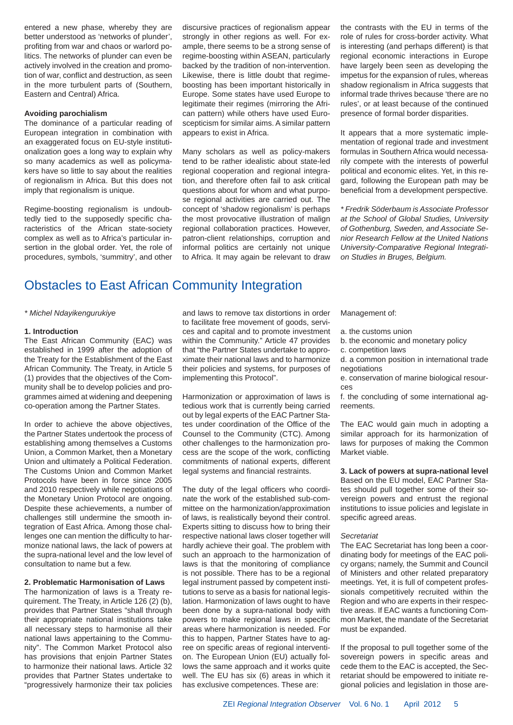entered a new phase, whereby they are better understood as 'networks of plunder', profiting from war and chaos or warlord politics. The networks of plunder can even be actively involved in the creation and promotion of war, conflict and destruction, as seen in the more turbulent parts of (Southern, Eastern and Central) Africa.

### **Avoiding parochialism**

The dominance of a particular reading of European integration in combination with an exaggerated focus on EU-style institutionalization goes a long way to explain why so many academics as well as policymakers have so little to say about the realities of regionalism in Africa. But this does not imply that regionalism is unique.

Regime-boosting regionalism is undoubtedly tied to the supposedly specific characteristics of the African state-society complex as well as to Africa's particular insertion in the global order. Yet, the role of procedures, symbols, 'summitry', and other discursive practices of regionalism appear strongly in other regions as well. For example, there seems to be a strong sense of regime-boosting within ASEAN, particularly backed by the tradition of non-intervention. Likewise, there is little doubt that regimeboosting has been important historically in Europe. Some states have used Europe to legitimate their regimes (mirroring the African pattern) while others have used Euroscepticism for similar aims. A similar pattern appears to exist in Africa.

Many scholars as well as policy-makers tend to be rather idealistic about state-led regional cooperation and regional integration, and therefore often fail to ask critical questions about for whom and what purpose regional activities are carried out. The concept of 'shadow regionalism' is perhaps the most provocative illustration of malign regional collaboration practices. However, patron-client relationships, corruption and informal politics are certainly not unique to Africa. It may again be relevant to draw

### Obstacles to East African Community Integration

### *\* Michel Ndayikengurukiye*

### **1. Introduction**

The East African Community (EAC) was established in 1999 after the adoption of the Treaty for the Establishment of the East African Community. The Treaty, in Article 5 (1) provides that the objectives of the Community shall be to develop policies and programmes aimed at widening and deepening co-operation among the Partner States.

In order to achieve the above objectives, the Partner States undertook the process of establishing among themselves a Customs Union, a Common Market, then a Monetary Union and ultimately a Political Federation. The Customs Union and Common Market Protocols have been in force since 2005 and 2010 respectively while negotiations of the Monetary Union Protocol are ongoing. Despite these achievements, a number of challenges still undermine the smooth integration of East Africa. Among those challenges one can mention the difficulty to harmonize national laws, the lack of powers at the supra-national level and the low level of consultation to name but a few.

### **2. Problematic Harmonisation of Laws**

The harmonization of laws is a Treaty requirement. The Treaty, in Article 126 (2) (b), provides that Partner States "shall through their appropriate national institutions take all necessary steps to harmonise all their national laws appertaining to the Community". The Common Market Protocol also has provisions that enjoin Partner States to harmonize their national laws. Article 32 provides that Partner States undertake to "progressively harmonize their tax policies and laws to remove tax distortions in order to facilitate free movement of goods, services and capital and to promote investment within the Community." Article 47 provides that "the Partner States undertake to approximate their national laws and to harmonize their policies and systems, for purposes of implementing this Protocol".

Harmonization or approximation of laws is tedious work that is currently being carried out by legal experts of the EAC Partner States under coordination of the Office of the Counsel to the Community (CTC). Among other challenges to the harmonization process are the scope of the work, conflicting commitments of national experts, different legal systems and financial restraints.

The duty of the legal officers who coordinate the work of the established sub-committee on the harmonization/approximation of laws, is realistically beyond their control. Experts sitting to discuss how to bring their respective national laws closer together will hardly achieve their goal. The problem with such an approach to the harmonization of laws is that the monitoring of compliance is not possible. There has to be a regional legal instrument passed by competent institutions to serve as a basis for national legislation. Harmonization of laws ought to have been done by a supra-national body with powers to make regional laws in specific areas where harmonization is needed. For this to happen, Partner States have to agree on specific areas of regional intervention. The European Union (EU) actually follows the same approach and it works quite well. The EU has six (6) areas in which it has exclusive competences. These are:

the contrasts with the EU in terms of the role of rules for cross-border activity. What is interesting (and perhaps different) is that regional economic interactions in Europe have largely been seen as developing the impetus for the expansion of rules, whereas shadow regionalism in Africa suggests that informal trade thrives because 'there are no rules', or at least because of the continued presence of formal border disparities.

It appears that a more systematic implementation of regional trade and investment formulas in Southern Africa would necessarily compete with the interests of powerful political and economic elites. Yet, in this regard, following the European path may be beneficial from a development perspective.

*\* Fredrik Söderbaum is Associate Professor at the School of Global Studies, University of Gothenburg, Sweden, and Associate Senior Research Fellow at the United Nations University-Comparative Regional Integration Studies in Bruges, Belgium.*

Management of:

- a. the customs union
- b. the economic and monetary policy
- c. competition laws
- d. a common position in international trade negotiations

e. conservation of marine biological resources

f. the concluding of some international agreements.

The EAC would gain much in adopting a similar approach for its harmonization of laws for purposes of making the Common Market viable.

**3. Lack of powers at supra-national level** Based on the EU model, EAC Partner States should pull together some of their sovereign powers and entrust the regional institutions to issue policies and legislate in specific agreed areas.

#### *Secretariat*

The EAC Secretariat has long been a coordinating body for meetings of the EAC policy organs; namely, the Summit and Council of Ministers and other related preparatory meetings. Yet, it is full of competent professionals competitively recruited within the Region and who are experts in their respective areas. If EAC wants a functioning Common Market, the mandate of the Secretariat must be expanded.

If the proposal to pull together some of the sovereign powers in specific areas and cede them to the EAC is accepted, the Secretariat should be empowered to initiate regional policies and legislation in those are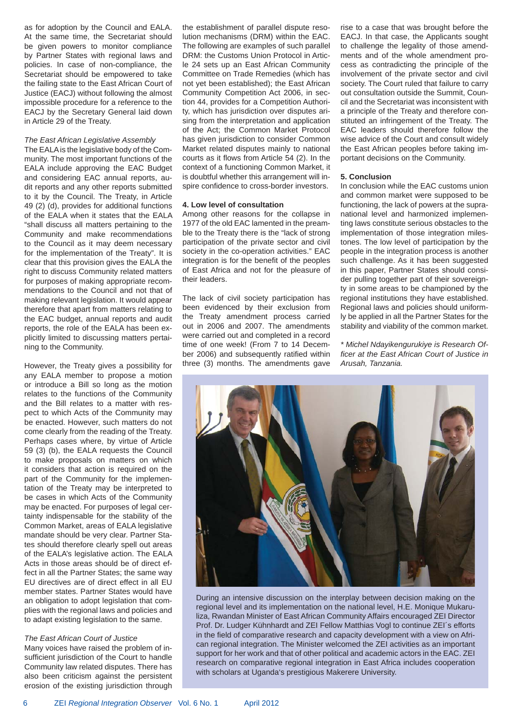as for adoption by the Council and EALA. At the same time, the Secretariat should be given powers to monitor compliance by Partner States with regional laws and policies. In case of non-compliance, the Secretariat should be empowered to take the failing state to the East African Court of Justice (EACJ) without following the almost impossible procedure for a reference to the EACJ by the Secretary General laid down in Article 29 of the Treaty.

### *The East African Legislative Assembly*

The EALA is the legislative body of the Community. The most important functions of the EALA include approving the EAC Budget and considering EAC annual reports, audit reports and any other reports submitted to it by the Council. The Treaty, in Article 49 (2) (d), provides for additional functions of the EALA when it states that the EALA "shall discuss all matters pertaining to the Community and make recommendations to the Council as it may deem necessary for the implementation of the Treaty". It is clear that this provision gives the EALA the right to discuss Community related matters for purposes of making appropriate recommendations to the Council and not that of making relevant legislation. It would appear therefore that apart from matters relating to the EAC budget, annual reports and audit reports, the role of the EALA has been explicitly limited to discussing matters pertaining to the Community.

However, the Treaty gives a possibility for any EALA member to propose a motion or introduce a Bill so long as the motion relates to the functions of the Community and the Bill relates to a matter with respect to which Acts of the Community may be enacted. However, such matters do not come clearly from the reading of the Treaty. Perhaps cases where, by virtue of Article 59 (3) (b), the EALA requests the Council to make proposals on matters on which it considers that action is required on the part of the Community for the implementation of the Treaty may be interpreted to be cases in which Acts of the Community may be enacted. For purposes of legal certainty indispensable for the stability of the Common Market, areas of EALA legislative mandate should be very clear. Partner States should therefore clearly spell out areas of the EALA's legislative action. The EALA Acts in those areas should be of direct effect in all the Partner States; the same way EU directives are of direct effect in all EU member states. Partner States would have an obligation to adopt legislation that complies with the regional laws and policies and to adapt existing legislation to the same.

### *The East African Court of Justice*

Many voices have raised the problem of insufficient jurisdiction of the Court to handle Community law related disputes. There has also been criticism against the persistent erosion of the existing jurisdiction through the establishment of parallel dispute resolution mechanisms (DRM) within the EAC. The following are examples of such parallel DRM: the Customs Union Protocol in Article 24 sets up an East African Community Committee on Trade Remedies (which has not yet been established); the East African Community Competition Act 2006, in section 44, provides for a Competition Authority, which has jurisdiction over disputes arising from the interpretation and application of the Act; the Common Market Protocol has given jurisdiction to consider Common Market related disputes mainly to national courts as it flows from Article 54 (2). In the context of a functioning Common Market, it is doubtful whether this arrangement will inspire confidence to cross-border investors.

### **4. Low level of consultation**

Among other reasons for the collapse in 1977 of the old EAC lamented in the preamble to the Treaty there is the "lack of strong participation of the private sector and civil society in the co-operation activities." EAC integration is for the benefit of the peoples of East Africa and not for the pleasure of their leaders.

The lack of civil society participation has been evidenced by their exclusion from the Treaty amendment process carried out in 2006 and 2007. The amendments were carried out and completed in a record time of one week! (From 7 to 14 December 2006) and subsequently ratified within three (3) months. The amendments gave rise to a case that was brought before the EACJ. In that case, the Applicants sought to challenge the legality of those amendments and of the whole amendment process as contradicting the principle of the involvement of the private sector and civil society. The Court ruled that failure to carry out consultation outside the Summit, Council and the Secretariat was inconsistent with a principle of the Treaty and therefore constituted an infringement of the Treaty. The EAC leaders should therefore follow the wise advice of the Court and consult widely the East African peoples before taking important decisions on the Community.

### **5. Conclusion**

In conclusion while the EAC customs union and common market were supposed to be functioning, the lack of powers at the supranational level and harmonized implementing laws constitute serious obstacles to the implementation of those integration milestones. The low level of participation by the people in the integration process is another such challenge. As it has been suggested in this paper, Partner States should consider pulling together part of their sovereignty in some areas to be championed by the regional institutions they have established. Regional laws and policies should uniformly be applied in all the Partner States for the stability and viability of the common market.

*\* Michel Ndayikengurukiye is Research Offi cer at the East African Court of Justice in Arusah, Tanzania.*



During an intensive discussion on the interplay between decision making on the regional level and its implementation on the national level, H.E. Monique Mukaruliza, Rwandan Minister of East African Community Affairs encouraged ZEI Director Prof. Dr. Ludger Kühnhardt and ZEI Fellow Matthias Vogl to continue ZEI´s efforts in the field of comparative research and capacity development with a view on African regional integration. The Minister welcomed the ZEI activities as an important support for her work and that of other political and academic actors in the EAC. ZEI research on comparative regional integration in East Africa includes cooperation with scholars at Uganda's prestigious Makerere University.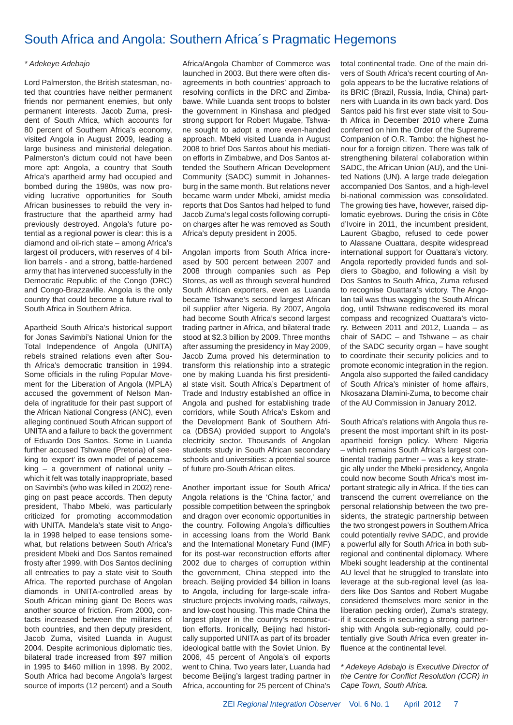### South Africa and Angola: Southern Africa´s Pragmatic Hegemons

### *\* Adekeye Adebajo*

Lord Palmerston, the British statesman, noted that countries have neither permanent friends nor permanent enemies, but only permanent interests. Jacob Zuma, president of South Africa, which accounts for 80 percent of Southern Africa's economy, visited Angola in August 2009, leading a large business and ministerial delegation. Palmerston's dictum could not have been more apt: Angola, a country that South Africa's apartheid army had occupied and bombed during the 1980s, was now providing lucrative opportunities for South African businesses to rebuild the very infrastructure that the apartheid army had previously destroyed. Angola's future potential as a regional power is clear: this is a diamond and oil-rich state – among Africa's largest oil producers, with reserves of 4 billion barrels - and a strong, battle-hardened army that has intervened successfully in the Democratic Republic of the Congo (DRC) and Congo-Brazzaville. Angola is the only country that could become a future rival to South Africa in Southern Africa.

Apartheid South Africa's historical support for Jonas Savimbi's National Union for the Total Independence of Angola (UNITA) rebels strained relations even after South Africa's democratic transition in 1994. Some officials in the ruling Popular Movement for the Liberation of Angola (MPLA) accused the government of Nelson Mandela of ingratitude for their past support of the African National Congress (ANC), even alleging continued South African support of UNITA and a failure to back the government of Eduardo Dos Santos. Some in Luanda further accused Tshwane (Pretoria) of seeking to 'export' its own model of peacemaking – a government of national unity – which it felt was totally inappropriate, based on Savimbi's (who was killed in 2002) reneging on past peace accords. Then deputy president, Thabo Mbeki, was particularly criticized for promoting accommodation with UNITA. Mandela's state visit to Angola in 1998 helped to ease tensions somewhat, but relations between South Africa's president Mbeki and Dos Santos remained frosty after 1999, with Dos Santos declining all entreaties to pay a state visit to South Africa. The reported purchase of Angolan diamonds in UNITA-controlled areas by South African mining giant De Beers was another source of friction. From 2000, contacts increased between the militaries of both countries, and then deputy president, Jacob Zuma, visited Luanda in August 2004. Despite acrimonious diplomatic ties, bilateral trade increased from \$97 million in 1995 to \$460 million in 1998. By 2002, South Africa had become Angola's largest source of imports (12 percent) and a South Africa/Angola Chamber of Commerce was launched in 2003. But there were often disagreements in both countries' approach to resolving conflicts in the DRC and Zimbabawe. While Luanda sent troops to bolster the government in Kinshasa and pledged strong support for Robert Mugabe, Tshwane sought to adopt a more even-handed approach. Mbeki visited Luanda in August 2008 to brief Dos Santos about his mediation efforts in Zimbabwe, and Dos Santos attended the Southern African Development Community (SADC) summit in Johannesburg in the same month. But relations never became warm under Mbeki, amidst media reports that Dos Santos had helped to fund Jacob Zuma's legal costs following corruption charges after he was removed as South Africa's deputy president in 2005.

Angolan imports from South Africa increased by 500 percent between 2007 and 2008 through companies such as Pep Stores, as well as through several hundred South African exporters, even as Luanda became Tshwane's second largest African oil supplier after Nigeria. By 2007, Angola had become South Africa's second largest trading partner in Africa, and bilateral trade stood at \$2.3 billion by 2009. Three months after assuming the presidency in May 2009, Jacob Zuma proved his determination to transform this relationship into a strategic one by making Luanda his first presidential state visit. South Africa's Department of Trade and Industry established an office in Angola and pushed for establishing trade corridors, while South Africa's Eskom and the Development Bank of Southern Africa (DBSA) provided support to Angola's electricity sector. Thousands of Angolan students study in South African secondary schools and universities: a potential source of future pro-South African elites.

Another important issue for South Africa/ Angola relations is the 'China factor,' and possible competition between the springbok and dragon over economic opportunities in the country. Following Angola's difficulties in accessing loans from the World Bank and the International Monetary Fund (IMF) for its post-war reconstruction efforts after 2002 due to charges of corruption within the government, China stepped into the breach. Beijing provided \$4 billion in loans to Angola, including for large-scale infrastructure projects involving roads, railways, and low-cost housing. This made China the largest player in the country's reconstruction efforts. Ironically, Beijing had historically supported UNITA as part of its broader ideological battle with the Soviet Union. By 2006, 45 percent of Angola's oil exports went to China. Two years later, Luanda had become Beijing's largest trading partner in Africa, accounting for 25 percent of China's total continental trade. One of the main drivers of South Africa's recent courting of Angola appears to be the lucrative relations of its BRIC (Brazil, Russia, India, China) partners with Luanda in its own back yard. Dos Santos paid his first ever state visit to South Africa in December 2010 where Zuma conferred on him the Order of the Supreme Companion of O.R. Tambo: the highest honour for a foreign citizen. There was talk of strengthening bilateral collaboration within SADC, the African Union (AU), and the United Nations (UN). A large trade delegation accompanied Dos Santos, and a high-level bi-national commission was consolidated. The growing ties have, however, raised diplomatic eyebrows. During the crisis in Côte d'Ivoire in 2011, the incumbent president, Laurent Gbagbo, refused to cede power to Alassane Ouattara, despite widespread international support for Ouattara's victory. Angola reportedly provided funds and soldiers to Gbagbo, and following a visit by Dos Santos to South Africa, Zuma refused to recognise Ouattara's victory. The Angolan tail was thus wagging the South African dog, until Tshwane rediscovered its moral compass and recognized Ouattara's victory. Between 2011 and 2012, Luanda – as chair of SADC – and Tshwane – as chair of the SADC security organ – have sought to coordinate their security policies and to promote economic integration in the region. Angola also supported the failed candidacy of South Africa's minister of home affairs, Nkosazana Dlamini-Zuma, to become chair of the AU Commission in January 2012.

South Africa's relations with Angola thus represent the most important shift in its postapartheid foreign policy. Where Nigeria – which remains South Africa's largest continental trading partner – was a key strategic ally under the Mbeki presidency, Angola could now become South Africa's most important strategic ally in Africa. If the ties can transcend the current overreliance on the personal relationship between the two presidents, the strategic partnership between the two strongest powers in Southern Africa could potentially revive SADC, and provide a powerful ally for South Africa in both subregional and continental diplomacy. Where Mbeki sought leadership at the continental AU level that he struggled to translate into leverage at the sub-regional level (as leaders like Dos Santos and Robert Mugabe considered themselves more senior in the liberation pecking order), Zuma's strategy, if it succeeds in securing a strong partnership with Angola sub-regionally, could potentially give South Africa even greater influence at the continental level.

*\* Adekeye Adebajo is Executive Director of the Centre for Conflict Resolution (CCR) in Cape Town, South Africa.*